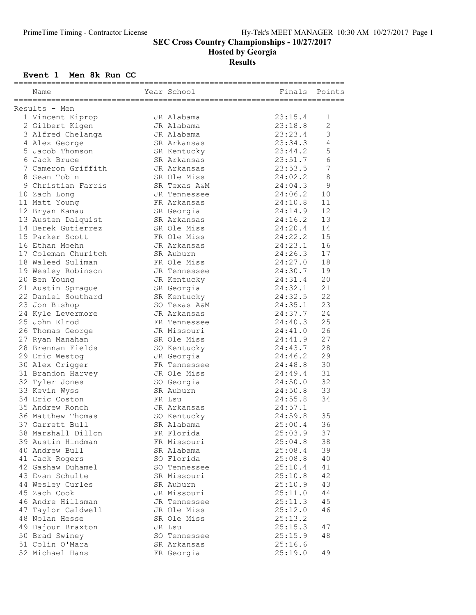SEC Cross Country Championships - 10/27/2017

Hosted by Georgia

Results

## Event 1 Men 8k Run CC

| Name                | Year School  | Finals             | Points           |
|---------------------|--------------|--------------------|------------------|
| Results - Men       |              |                    |                  |
| 1 Vincent Kiprop    | JR Alabama   | 23:15.4            | 1                |
| 2 Gilbert Kigen     | JR Alabama   | 23:18.8            | $\overline{c}$   |
| 3 Alfred Chelanga   | JR Alabama   | 23:23.4            | 3                |
| 4 Alex George       | SR Arkansas  | 23:34.3            | 4                |
| 5 Jacob Thomson     | SR Kentucky  | 23:44.2            | 5                |
| 6 Jack Bruce        | SR Arkansas  | 23:51.7            | 6                |
| 7 Cameron Griffith  | JR Arkansas  | 23:53.5            | $\boldsymbol{7}$ |
| 8 Sean Tobin        | SR Ole Miss  | 24:02.2            | $\,8\,$          |
| 9 Christian Farris  | SR Texas A&M | 24:04.3            | 9                |
| 10 Zach Long        | JR Tennessee | 24:06.2            | 10               |
| 11 Matt Young       | FR Arkansas  | 24:10.8            | 11               |
| 12 Bryan Kamau      | SR Georgia   | 24:14.9            | 12               |
| 13 Austen Dalquist  | SR Arkansas  | 24:16.2            | 13               |
| 14 Derek Gutierrez  | SR Ole Miss  | 24:20.4            | 14               |
| 15 Parker Scott     | FR Ole Miss  | 24:22.2            | 15               |
|                     |              |                    |                  |
| 16 Ethan Moehn      | JR Arkansas  | 24:23.1<br>24:26.3 | 16               |
| 17 Coleman Churitch | SR Auburn    |                    | 17               |
| 18 Waleed Suliman   | FR Ole Miss  | 24:27.0            | 18               |
| 19 Wesley Robinson  | JR Tennessee | 24:30.7            | 19               |
| 20 Ben Young        | JR Kentucky  | 24:31.4            | 20               |
| 21 Austin Sprague   | SR Georgia   | 24:32.1            | 21               |
| 22 Daniel Southard  | SR Kentucky  | 24:32.5            | 22               |
| 23 Jon Bishop       | SO Texas A&M | 24:35.1            | 23               |
| 24 Kyle Levermore   | JR Arkansas  | 24:37.7            | 24               |
| 25 John Elrod       | FR Tennessee | 24:40.3            | 25               |
| 26 Thomas George    | JR Missouri  | 24:41.0            | 26               |
| 27 Ryan Manahan     | SR Ole Miss  | 24:41.9            | 27               |
| 28 Brennan Fields   | SO Kentucky  | 24:43.7            | 28               |
| 29 Eric Westog      | JR Georgia   | 24:46.2            | 29               |
| 30 Alex Crigger     | FR Tennessee | 24:48.8            | 30               |
| 31 Brandon Harvey   | JR Ole Miss  | 24:49.4            | 31               |
| 32 Tyler Jones      | SO Georgia   | 24:50.0            | 32               |
| 33 Kevin Wyss       | SR Auburn    | 24:50.8            | 33               |
| 34 Eric Coston      | FR Lsu       | 24:55.8            | 34               |
| 35 Andrew Ronoh     | JR Arkansas  | 24:57.1            |                  |
| 36 Matthew Thomas   | SO Kentucky  | 24:59.8            | 35               |
| 37 Garrett Bull     | SR Alabama   | 25:00.4            | 36               |
| 38 Marshall Dillon  | FR Florida   | 25:03.9            | 37               |
| 39 Austin Hindman   | FR Missouri  | 25:04.8            | 38               |
| 40 Andrew Bull      | SR Alabama   | 25:08.4            | 39               |
| 41 Jack Rogers      | SO Florida   | 25:08.8            | 40               |
| 42 Gashaw Duhamel   | SO Tennessee | 25:10.4            | 41               |
| 43 Evan Schulte     | SR Missouri  | 25:10.8            | 42               |
| 44 Wesley Curles    | SR Auburn    | 25:10.9            | 43               |
| 45 Zach Cook        | JR Missouri  | 25:11.0            | 44               |
| 46 Andre Hillsman   | JR Tennessee | 25:11.3            | 45               |
| 47 Taylor Caldwell  | JR Ole Miss  | 25:12.0            | 46               |
| 48 Nolan Hesse      | SR Ole Miss  | 25:13.2            |                  |
| 49 Dajour Braxton   | JR Lsu       | 25:15.3            | 47               |
| 50 Brad Swiney      | SO Tennessee | 25:15.9            | 48               |
| 51 Colin O'Mara     | SR Arkansas  | 25:16.6            |                  |
| 52 Michael Hans     | FR Georgia   | 25:19.0            | 49               |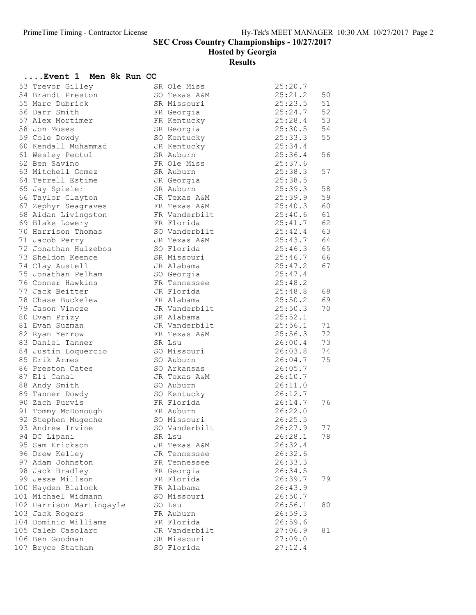SEC Cross Country Championships - 10/27/2017

Hosted by Georgia

Results

| Event 1 Men 8k Run CC    |               |         |    |
|--------------------------|---------------|---------|----|
| 53 Trevor Gilley         | SR Ole Miss   | 25:20.7 |    |
| 54 Brandt Preston        | SO Texas A&M  | 25:21.2 | 50 |
| 55 Marc Dubrick          | SR Missouri   | 25:23.5 | 51 |
| 56 Darr Smith            | FR Georgia    | 25:24.7 | 52 |
| 57 Alex Mortimer         | FR Kentucky   | 25:28.4 | 53 |
| 58 Jon Moses             | SR Georgia    | 25:30.5 | 54 |
| 59 Cole Dowdy            | SO Kentucky   | 25:33.3 | 55 |
| 60 Kendall Muhammad      | JR Kentucky   | 25:34.4 |    |
| 61 Wesley Pectol         | SR Auburn     | 25:36.4 | 56 |
| 62 Ben Savino            | FR Ole Miss   | 25:37.6 |    |
| 63 Mitchell Gomez        | SR Auburn     | 25:38.3 | 57 |
| 64 Terrell Estime        | JR Georgia    | 25:38.5 |    |
| 65 Jay Spieler           | SR Auburn     | 25:39.3 | 58 |
| 66 Taylor Clayton        | JR Texas A&M  | 25:39.9 | 59 |
| 67 Zephyr Seagraves      | FR Texas A&M  | 25:40.3 | 60 |
| 68 Aidan Livingston      | FR Vanderbilt | 25:40.6 | 61 |
| 69 Blake Lowery          | FR Florida    | 25:41.7 | 62 |
| 70 Harrison Thomas       | SO Vanderbilt | 25:42.4 | 63 |
| 71 Jacob Perry           | JR Texas A&M  | 25:43.7 | 64 |
| 72 Jonathan Hulzebos     | SO Florida    | 25:46.3 | 65 |
| 73 Sheldon Keence        | SR Missouri   | 25:46.7 | 66 |
| 74 Clay Austell          | JR Alabama    | 25:47.2 | 67 |
| 75 Jonathan Pelham       | SO Georgia    | 25:47.4 |    |
| 76 Conner Hawkins        | FR Tennessee  | 25:48.2 |    |
| 77 Jack Beitter          | JR Florida    | 25:48.8 | 68 |
| 78 Chase Buckelew        | FR Alabama    | 25:50.2 | 69 |
| 79 Jason Vincze          | JR Vanderbilt | 25:50.3 | 70 |
| 80 Evan Prizy            | SR Alabama    | 25:52.1 |    |
| 81 Evan Suzman           | JR Vanderbilt | 25:56.1 | 71 |
| 82 Ryan Yerrow           | FR Texas A&M  | 25:56.3 | 72 |
| 83 Daniel Tanner         | SR Lsu        | 26:00.4 | 73 |
| 84 Justin Loquercio      | SO Missouri   | 26:03.8 | 74 |
| 85 Erik Armes            | SO Auburn     | 26:04.7 | 75 |
| 86 Preston Cates         | SO Arkansas   | 26:05.7 |    |
| 87 Eli Canal             | JR Texas A&M  | 26:10.7 |    |
| 88 Andy Smith            | SO Auburn     | 26:11.0 |    |
| 89 Tanner Dowdy          | SO Kentucky   | 26:12.7 |    |
| 90 Zach Purvis           | FR Florida    | 26:14.7 | 76 |
| 91 Tommy McDonough       | FR Auburn     | 26:22.0 |    |
| 92 Stephen Mugeche       | SO Missouri   | 26:25.5 |    |
| 93 Andrew Irvine         | SO Vanderbilt | 26:27.9 | 77 |
| 94 DC Lipani             | SR Lsu        | 26:28.1 | 78 |
| 95 Sam Erickson          | JR Texas A&M  | 26:32.4 |    |
| 96 Drew Kelley           | JR Tennessee  | 26:32.6 |    |
| 97 Adam Johnston         | FR Tennessee  | 26:33.3 |    |
| 98 Jack Bradley          | FR Georgia    | 26:34.5 |    |
| 99 Jesse Millson         | FR Florida    | 26:39.7 | 79 |
| 100 Hayden Blalock       | FR Alabama    | 26:43.9 |    |
| 101 Michael Widmann      | SO Missouri   | 26:50.7 |    |
| 102 Harrison Martingayle | SO Lsu        | 26:56.1 | 80 |
| 103 Jack Rogers          | FR Auburn     | 26:59.3 |    |
| 104 Dominic Williams     | FR Florida    | 26:59.6 |    |
| 105 Caleb Casolaro       | JR Vanderbilt | 27:06.9 | 81 |
| 106 Ben Goodman          | SR Missouri   | 27:09.0 |    |
| 107 Bryce Statham        | SO Florida    | 27:12.4 |    |